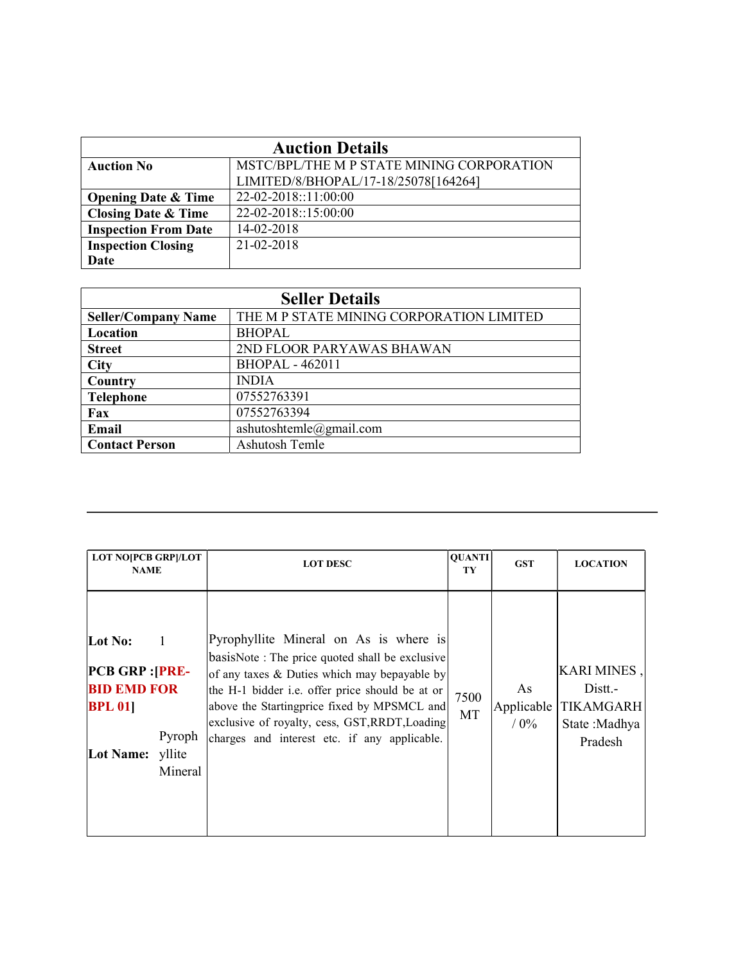| <b>Auction Details</b>         |                                           |  |
|--------------------------------|-------------------------------------------|--|
| <b>Auction No</b>              | MSTC/BPL/THE M P STATE MINING CORPORATION |  |
|                                | LIMITED/8/BHOPAL/17-18/25078[164264]      |  |
| <b>Opening Date &amp; Time</b> | 22-02-2018::11:00:00                      |  |
| <b>Closing Date &amp; Time</b> | 22-02-2018::15:00:00                      |  |
| <b>Inspection From Date</b>    | 14-02-2018                                |  |
| <b>Inspection Closing</b>      | 21-02-2018                                |  |
| Date                           |                                           |  |

| <b>Seller Details</b>      |                                          |  |
|----------------------------|------------------------------------------|--|
| <b>Seller/Company Name</b> | THE M P STATE MINING CORPORATION LIMITED |  |
| Location                   | <b>BHOPAL</b>                            |  |
| <b>Street</b>              | 2ND FLOOR PARYAWAS BHAWAN                |  |
| <b>City</b>                | <b>BHOPAL - 462011</b>                   |  |
| Country                    | <b>INDIA</b>                             |  |
| <b>Telephone</b>           | 07552763391                              |  |
| Fax                        | 07552763394                              |  |
| Email                      | ashutoshtemle@gmail.com                  |  |
| <b>Contact Person</b>      | Ashutosh Temle                           |  |

| <b>LOT NO[PCB GRP]/LOT</b><br><b>NAME</b>                                                                                    | <b>LOT DESC</b>                                                                                                                                                                                                                                                                                                                              | <b>QUANTI</b><br>TY | <b>GST</b>                  | <b>LOCATION</b>                                                              |
|------------------------------------------------------------------------------------------------------------------------------|----------------------------------------------------------------------------------------------------------------------------------------------------------------------------------------------------------------------------------------------------------------------------------------------------------------------------------------------|---------------------|-----------------------------|------------------------------------------------------------------------------|
| Lot No:<br><b>PCB GRP : [PRE-</b><br><b>BID EMD FOR</b><br><b>BPL 011</b><br>Pyroph<br><b>Lot Name:</b><br>yllite<br>Mineral | Pyrophyllite Mineral on As is where is<br>basisNote: The price quoted shall be exclusive<br>of any taxes & Duties which may bepayable by<br>the H-1 bidder i.e. offer price should be at or<br>above the Startingprice fixed by MPSMCL and<br>exclusive of royalty, cess, GST, RRDT, Loading<br>charges and interest etc. if any applicable. | 7500<br>MT          | As<br>Applicable<br>$/ 0\%$ | <b>KARI MINES,</b><br>Distt.-<br><b>TIKAMGARH</b><br>State:Madhya<br>Pradesh |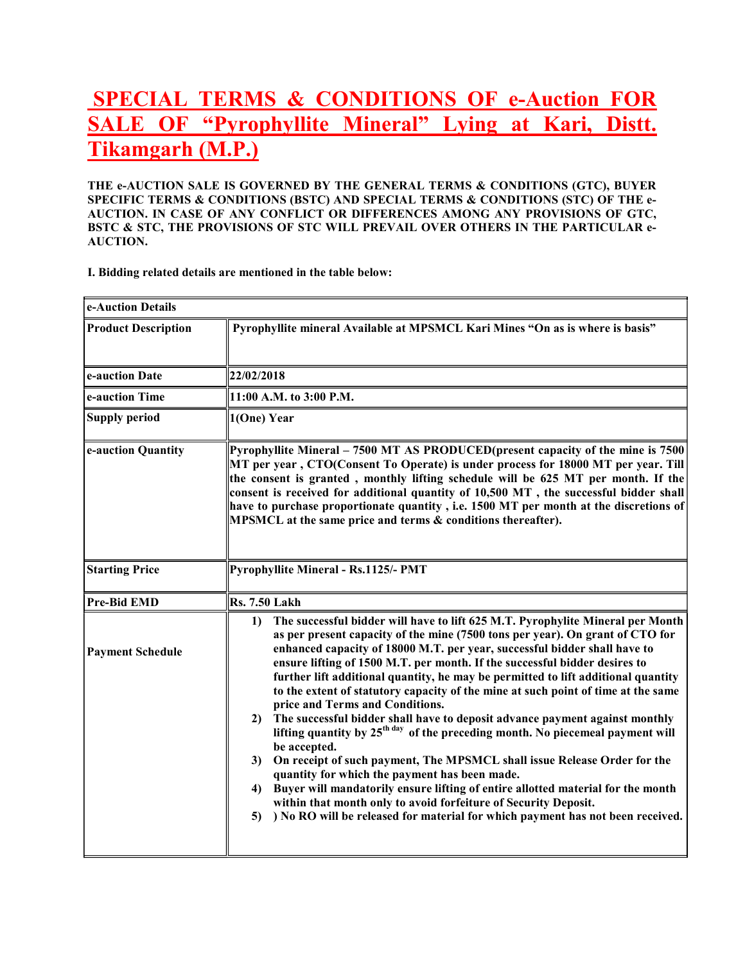# SPECIAL TERMS & CONDITIONS OF e-Auction FOR SALE OF "Pyrophyllite Mineral" Lying at Kari, Distt. Tikamgarh (M.P.)

THE e-AUCTION SALE IS GOVERNED BY THE GENERAL TERMS & CONDITIONS (GTC), BUYER SPECIFIC TERMS & CONDITIONS (BSTC) AND SPECIAL TERMS & CONDITIONS (STC) OF THE e-AUCTION. IN CASE OF ANY CONFLICT OR DIFFERENCES AMONG ANY PROVISIONS OF GTC, BSTC & STC, THE PROVISIONS OF STC WILL PREVAIL OVER OTHERS IN THE PARTICULAR e-AUCTION.

I. Bidding related details are mentioned in the table below:

| e-Auction Details          |                                                                                                                                                                                                                                                                                                                                                                                                                                                                                                                                                                                                                                                                                                                                                                                                                                                                                                                                                                                                                                                                                                                                         |  |  |
|----------------------------|-----------------------------------------------------------------------------------------------------------------------------------------------------------------------------------------------------------------------------------------------------------------------------------------------------------------------------------------------------------------------------------------------------------------------------------------------------------------------------------------------------------------------------------------------------------------------------------------------------------------------------------------------------------------------------------------------------------------------------------------------------------------------------------------------------------------------------------------------------------------------------------------------------------------------------------------------------------------------------------------------------------------------------------------------------------------------------------------------------------------------------------------|--|--|
| <b>Product Description</b> | Pyrophyllite mineral Available at MPSMCL Kari Mines "On as is where is basis"                                                                                                                                                                                                                                                                                                                                                                                                                                                                                                                                                                                                                                                                                                                                                                                                                                                                                                                                                                                                                                                           |  |  |
| e-auction Date             | 22/02/2018                                                                                                                                                                                                                                                                                                                                                                                                                                                                                                                                                                                                                                                                                                                                                                                                                                                                                                                                                                                                                                                                                                                              |  |  |
| e-auction Time             | 11:00 A.M. to 3:00 P.M.                                                                                                                                                                                                                                                                                                                                                                                                                                                                                                                                                                                                                                                                                                                                                                                                                                                                                                                                                                                                                                                                                                                 |  |  |
| <b>Supply period</b>       | 1(One) Year                                                                                                                                                                                                                                                                                                                                                                                                                                                                                                                                                                                                                                                                                                                                                                                                                                                                                                                                                                                                                                                                                                                             |  |  |
| e-auction Quantity         | Pyrophyllite Mineral – 7500 MT AS PRODUCED(present capacity of the mine is 7500<br>MT per year, CTO(Consent To Operate) is under process for 18000 MT per year. Till<br>the consent is granted, monthly lifting schedule will be 625 MT per month. If the<br>consent is received for additional quantity of 10,500 MT, the successful bidder shall<br>have to purchase proportionate quantity, i.e. 1500 MT per month at the discretions of<br>MPSMCL at the same price and terms & conditions thereafter).                                                                                                                                                                                                                                                                                                                                                                                                                                                                                                                                                                                                                             |  |  |
| <b>Starting Price</b>      | Pyrophyllite Mineral - Rs.1125/- PMT                                                                                                                                                                                                                                                                                                                                                                                                                                                                                                                                                                                                                                                                                                                                                                                                                                                                                                                                                                                                                                                                                                    |  |  |
| <b>Pre-Bid EMD</b>         | <b>Rs. 7.50 Lakh</b>                                                                                                                                                                                                                                                                                                                                                                                                                                                                                                                                                                                                                                                                                                                                                                                                                                                                                                                                                                                                                                                                                                                    |  |  |
| <b>Payment Schedule</b>    | 1)<br>The successful bidder will have to lift 625 M.T. Pyrophylite Mineral per Month<br>as per present capacity of the mine (7500 tons per year). On grant of CTO for<br>enhanced capacity of 18000 M.T. per year, successful bidder shall have to<br>ensure lifting of 1500 M.T. per month. If the successful bidder desires to<br>further lift additional quantity, he may be permitted to lift additional quantity<br>to the extent of statutory capacity of the mine at such point of time at the same<br>price and Terms and Conditions.<br>The successful bidder shall have to deposit advance payment against monthly<br>2)<br>lifting quantity by 25 <sup>th day</sup> of the preceding month. No piecemeal payment will<br>be accepted.<br>On receipt of such payment, The MPSMCL shall issue Release Order for the<br>3)<br>quantity for which the payment has been made.<br>Buyer will mandatorily ensure lifting of entire allotted material for the month<br>4)<br>within that month only to avoid forfeiture of Security Deposit.<br>) No RO will be released for material for which payment has not been received.<br>5) |  |  |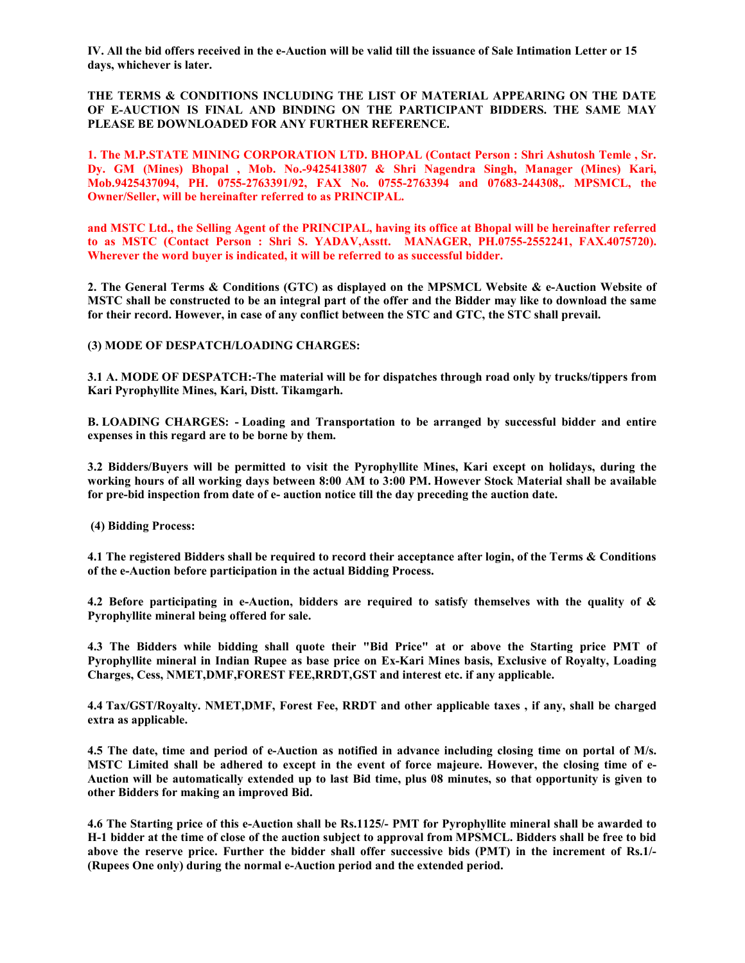IV. All the bid offers received in the e-Auction will be valid till the issuance of Sale Intimation Letter or 15 days, whichever is later.

THE TERMS & CONDITIONS INCLUDING THE LIST OF MATERIAL APPEARING ON THE DATE OF E-AUCTION IS FINAL AND BINDING ON THE PARTICIPANT BIDDERS. THE SAME MAY PLEASE BE DOWNLOADED FOR ANY FURTHER REFERENCE.

1. The M.P.STATE MINING CORPORATION LTD. BHOPAL (Contact Person : Shri Ashutosh Temle , Sr. Dy. GM (Mines) Bhopal , Mob. No.-9425413807 & Shri Nagendra Singh, Manager (Mines) Kari, Mob.9425437094, PH. 0755-2763391/92, FAX No. 0755-2763394 and 07683-244308,. MPSMCL, the Owner/Seller, will be hereinafter referred to as PRINCIPAL.

and MSTC Ltd., the Selling Agent of the PRINCIPAL, having its office at Bhopal will be hereinafter referred to as MSTC (Contact Person : Shri S. YADAV,Asstt. MANAGER, PH.0755-2552241, FAX.4075720). Wherever the word buyer is indicated, it will be referred to as successful bidder.

2. The General Terms & Conditions (GTC) as displayed on the MPSMCL Website & e-Auction Website of MSTC shall be constructed to be an integral part of the offer and the Bidder may like to download the same for their record. However, in case of any conflict between the STC and GTC, the STC shall prevail.

(3) MODE OF DESPATCH/LOADING CHARGES:

3.1 A. MODE OF DESPATCH:-The material will be for dispatches through road only by trucks/tippers from Kari Pyrophyllite Mines, Kari, Distt. Tikamgarh.

B. LOADING CHARGES: - Loading and Transportation to be arranged by successful bidder and entire expenses in this regard are to be borne by them.

3.2 Bidders/Buyers will be permitted to visit the Pyrophyllite Mines, Kari except on holidays, during the working hours of all working days between 8:00 AM to 3:00 PM. However Stock Material shall be available for pre-bid inspection from date of e- auction notice till the day preceding the auction date.

(4) Bidding Process:

4.1 The registered Bidders shall be required to record their acceptance after login, of the Terms & Conditions of the e-Auction before participation in the actual Bidding Process.

4.2 Before participating in e-Auction, bidders are required to satisfy themselves with the quality of & Pyrophyllite mineral being offered for sale.

4.3 The Bidders while bidding shall quote their "Bid Price" at or above the Starting price PMT of Pyrophyllite mineral in Indian Rupee as base price on Ex-Kari Mines basis, Exclusive of Royalty, Loading Charges, Cess, NMET,DMF,FOREST FEE,RRDT,GST and interest etc. if any applicable.

4.4 Tax/GST/Royalty. NMET,DMF, Forest Fee, RRDT and other applicable taxes , if any, shall be charged extra as applicable.

4.5 The date, time and period of e-Auction as notified in advance including closing time on portal of M/s. MSTC Limited shall be adhered to except in the event of force majeure. However, the closing time of e-Auction will be automatically extended up to last Bid time, plus 08 minutes, so that opportunity is given to other Bidders for making an improved Bid.

4.6 The Starting price of this e-Auction shall be Rs.1125/- PMT for Pyrophyllite mineral shall be awarded to H-1 bidder at the time of close of the auction subject to approval from MPSMCL. Bidders shall be free to bid above the reserve price. Further the bidder shall offer successive bids (PMT) in the increment of Rs.1/- (Rupees One only) during the normal e-Auction period and the extended period.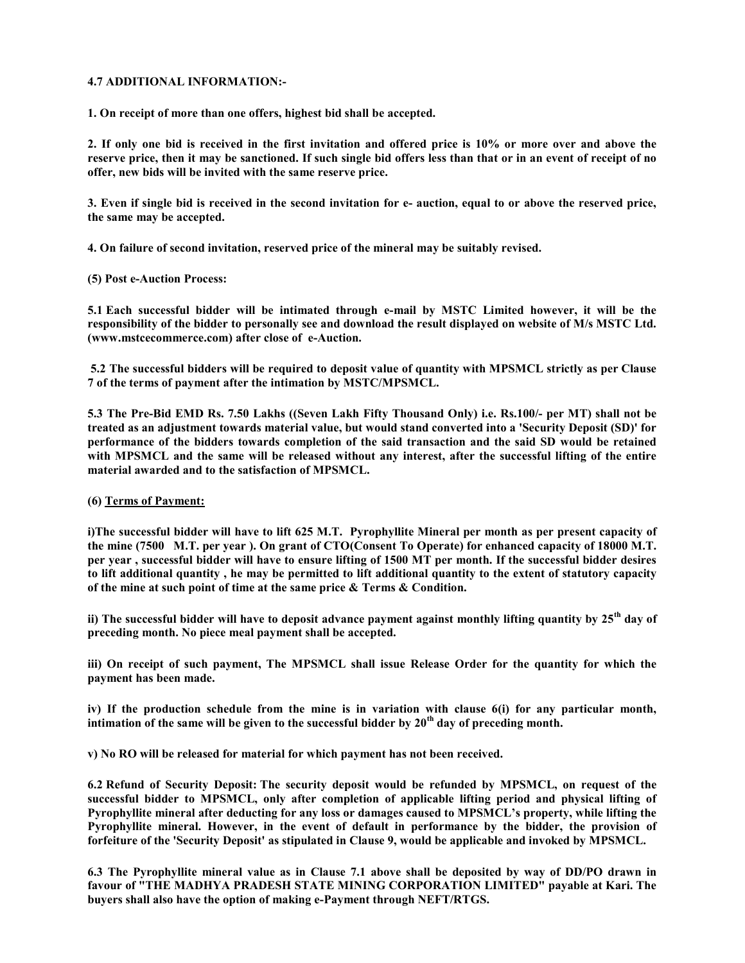### 4.7 ADDITIONAL INFORMATION:-

1. On receipt of more than one offers, highest bid shall be accepted.

2. If only one bid is received in the first invitation and offered price is 10% or more over and above the reserve price, then it may be sanctioned. If such single bid offers less than that or in an event of receipt of no offer, new bids will be invited with the same reserve price.

3. Even if single bid is received in the second invitation for e- auction, equal to or above the reserved price, the same may be accepted.

4. On failure of second invitation, reserved price of the mineral may be suitably revised.

(5) Post e-Auction Process:

5.1 Each successful bidder will be intimated through e-mail by MSTC Limited however, it will be the responsibility of the bidder to personally see and download the result displayed on website of M/s MSTC Ltd. (www.mstcecommerce.com) after close of e-Auction.

 5.2 The successful bidders will be required to deposit value of quantity with MPSMCL strictly as per Clause 7 of the terms of payment after the intimation by MSTC/MPSMCL.

5.3 The Pre-Bid EMD Rs. 7.50 Lakhs ((Seven Lakh Fifty Thousand Only) i.e. Rs.100/- per MT) shall not be treated as an adjustment towards material value, but would stand converted into a 'Security Deposit (SD)' for performance of the bidders towards completion of the said transaction and the said SD would be retained with MPSMCL and the same will be released without any interest, after the successful lifting of the entire material awarded and to the satisfaction of MPSMCL.

#### (6) Terms of Payment:

i)The successful bidder will have to lift 625 M.T. Pyrophyllite Mineral per month as per present capacity of the mine (7500 M.T. per year ). On grant of CTO(Consent To Operate) for enhanced capacity of 18000 M.T. per year , successful bidder will have to ensure lifting of 1500 MT per month. If the successful bidder desires to lift additional quantity , he may be permitted to lift additional quantity to the extent of statutory capacity of the mine at such point of time at the same price & Terms & Condition.

ii) The successful bidder will have to deposit advance payment against monthly lifting quantity by  $25<sup>th</sup>$  day of preceding month. No piece meal payment shall be accepted.

iii) On receipt of such payment, The MPSMCL shall issue Release Order for the quantity for which the payment has been made.

iv) If the production schedule from the mine is in variation with clause 6(i) for any particular month, intimation of the same will be given to the successful bidder by  $20<sup>th</sup>$  day of preceding month.

v) No RO will be released for material for which payment has not been received.

6.2 Refund of Security Deposit: The security deposit would be refunded by MPSMCL, on request of the successful bidder to MPSMCL, only after completion of applicable lifting period and physical lifting of Pyrophyllite mineral after deducting for any loss or damages caused to MPSMCL's property, while lifting the Pyrophyllite mineral. However, in the event of default in performance by the bidder, the provision of forfeiture of the 'Security Deposit' as stipulated in Clause 9, would be applicable and invoked by MPSMCL.

6.3 The Pyrophyllite mineral value as in Clause 7.1 above shall be deposited by way of DD/PO drawn in favour of "THE MADHYA PRADESH STATE MINING CORPORATION LIMITED" payable at Kari. The buyers shall also have the option of making e-Payment through NEFT/RTGS.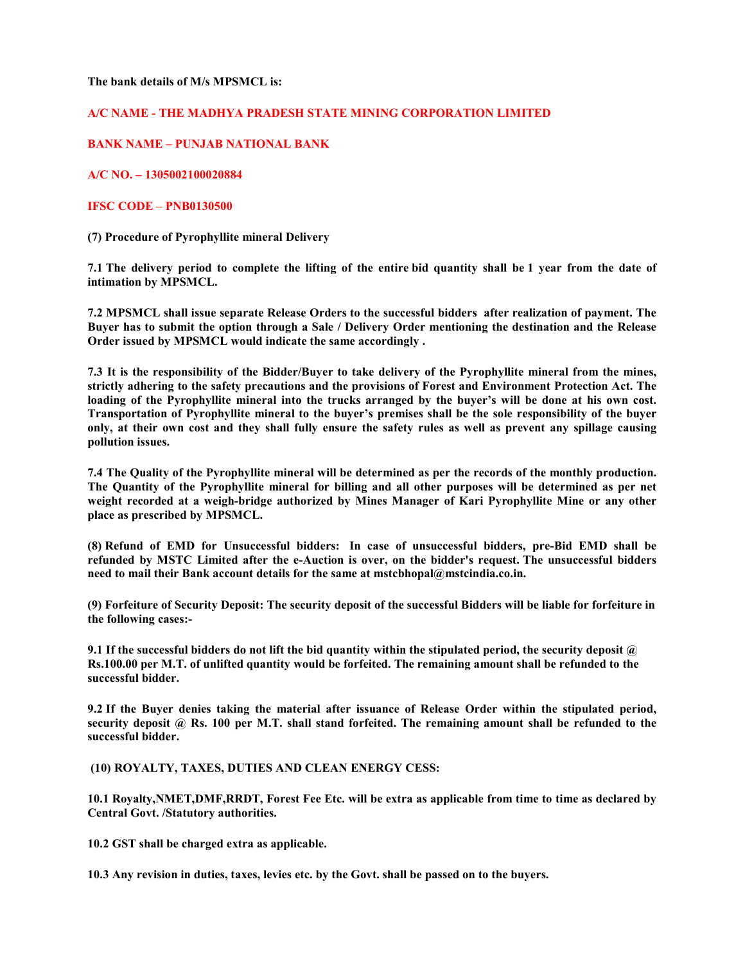The bank details of M/s MPSMCL is:

### A/C NAME - THE MADHYA PRADESH STATE MINING CORPORATION LIMITED

## BANK NAME – PUNJAB NATIONAL BANK

A/C NO. – 1305002100020884

### IFSC CODE – PNB0130500

(7) Procedure of Pyrophyllite mineral Delivery

7.1 The delivery period to complete the lifting of the entire bid quantity shall be 1 year from the date of intimation by MPSMCL.

7.2 MPSMCL shall issue separate Release Orders to the successful bidders after realization of payment. The Buyer has to submit the option through a Sale / Delivery Order mentioning the destination and the Release Order issued by MPSMCL would indicate the same accordingly .

7.3 It is the responsibility of the Bidder/Buyer to take delivery of the Pyrophyllite mineral from the mines, strictly adhering to the safety precautions and the provisions of Forest and Environment Protection Act. The loading of the Pyrophyllite mineral into the trucks arranged by the buyer's will be done at his own cost. Transportation of Pyrophyllite mineral to the buyer's premises shall be the sole responsibility of the buyer only, at their own cost and they shall fully ensure the safety rules as well as prevent any spillage causing pollution issues.

7.4 The Quality of the Pyrophyllite mineral will be determined as per the records of the monthly production. The Quantity of the Pyrophyllite mineral for billing and all other purposes will be determined as per net weight recorded at a weigh-bridge authorized by Mines Manager of Kari Pyrophyllite Mine or any other place as prescribed by MPSMCL.

(8) Refund of EMD for Unsuccessful bidders: In case of unsuccessful bidders, pre-Bid EMD shall be refunded by MSTC Limited after the e-Auction is over, on the bidder's request. The unsuccessful bidders need to mail their Bank account details for the same at mstcbhopal@mstcindia.co.in.

(9) Forfeiture of Security Deposit: The security deposit of the successful Bidders will be liable for forfeiture in the following cases:-

9.1 If the successful bidders do not lift the bid quantity within the stipulated period, the security deposit  $\omega$ Rs.100.00 per M.T. of unlifted quantity would be forfeited. The remaining amount shall be refunded to the successful bidder.

9.2 If the Buyer denies taking the material after issuance of Release Order within the stipulated period, security deposit @ Rs. 100 per M.T. shall stand forfeited. The remaining amount shall be refunded to the successful bidder.

(10) ROYALTY, TAXES, DUTIES AND CLEAN ENERGY CESS:

10.1 Royalty,NMET,DMF,RRDT, Forest Fee Etc. will be extra as applicable from time to time as declared by Central Govt. /Statutory authorities.

10.2 GST shall be charged extra as applicable.

10.3 Any revision in duties, taxes, levies etc. by the Govt. shall be passed on to the buyers.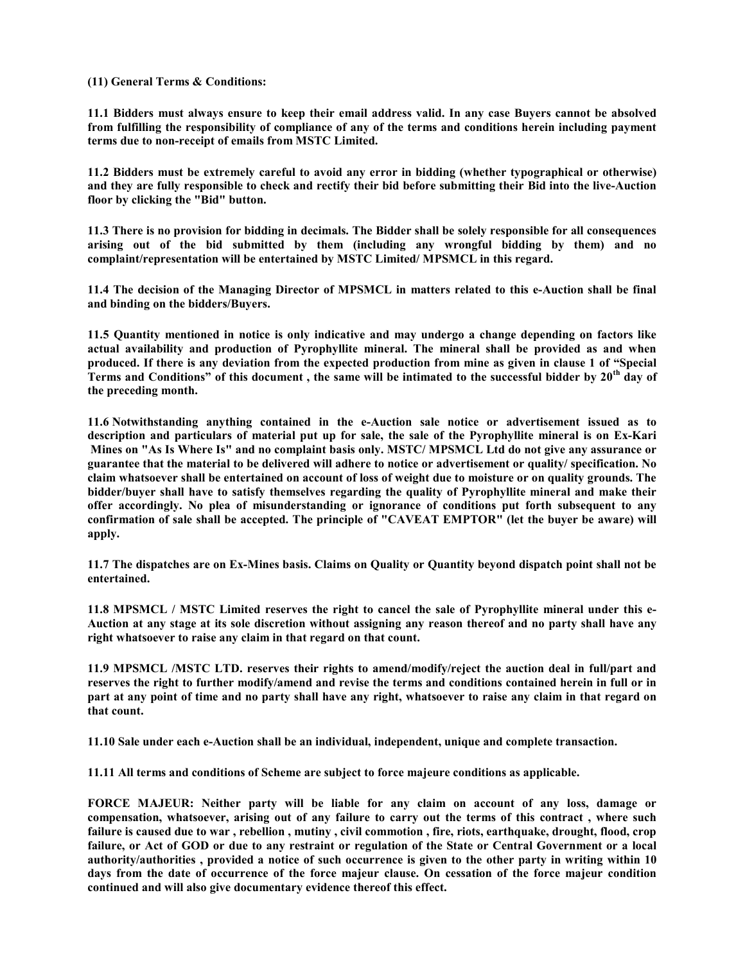(11) General Terms & Conditions:

11.1 Bidders must always ensure to keep their email address valid. In any case Buyers cannot be absolved from fulfilling the responsibility of compliance of any of the terms and conditions herein including payment terms due to non-receipt of emails from MSTC Limited.

11.2 Bidders must be extremely careful to avoid any error in bidding (whether typographical or otherwise) and they are fully responsible to check and rectify their bid before submitting their Bid into the live-Auction floor by clicking the "Bid" button.

11.3 There is no provision for bidding in decimals. The Bidder shall be solely responsible for all consequences arising out of the bid submitted by them (including any wrongful bidding by them) and no complaint/representation will be entertained by MSTC Limited/ MPSMCL in this regard.

11.4 The decision of the Managing Director of MPSMCL in matters related to this e-Auction shall be final and binding on the bidders/Buyers.

11.5 Quantity mentioned in notice is only indicative and may undergo a change depending on factors like actual availability and production of Pyrophyllite mineral. The mineral shall be provided as and when produced. If there is any deviation from the expected production from mine as given in clause 1 of "Special Terms and Conditions" of this document, the same will be intimated to the successful bidder by 20<sup>th</sup> day of the preceding month.

11.6 Notwithstanding anything contained in the e-Auction sale notice or advertisement issued as to description and particulars of material put up for sale, the sale of the Pyrophyllite mineral is on Ex-Kari Mines on "As Is Where Is" and no complaint basis only. MSTC/ MPSMCL Ltd do not give any assurance or guarantee that the material to be delivered will adhere to notice or advertisement or quality/ specification. No claim whatsoever shall be entertained on account of loss of weight due to moisture or on quality grounds. The bidder/buyer shall have to satisfy themselves regarding the quality of Pyrophyllite mineral and make their offer accordingly. No plea of misunderstanding or ignorance of conditions put forth subsequent to any confirmation of sale shall be accepted. The principle of "CAVEAT EMPTOR" (let the buyer be aware) will apply.

11.7 The dispatches are on Ex-Mines basis. Claims on Quality or Quantity beyond dispatch point shall not be entertained.

11.8 MPSMCL / MSTC Limited reserves the right to cancel the sale of Pyrophyllite mineral under this e-Auction at any stage at its sole discretion without assigning any reason thereof and no party shall have any right whatsoever to raise any claim in that regard on that count.

11.9 MPSMCL /MSTC LTD. reserves their rights to amend/modify/reject the auction deal in full/part and reserves the right to further modify/amend and revise the terms and conditions contained herein in full or in part at any point of time and no party shall have any right, whatsoever to raise any claim in that regard on that count.

11.10 Sale under each e-Auction shall be an individual, independent, unique and complete transaction.

11.11 All terms and conditions of Scheme are subject to force majeure conditions as applicable.

FORCE MAJEUR: Neither party will be liable for any claim on account of any loss, damage or compensation, whatsoever, arising out of any failure to carry out the terms of this contract , where such failure is caused due to war , rebellion , mutiny , civil commotion , fire, riots, earthquake, drought, flood, crop failure, or Act of GOD or due to any restraint or regulation of the State or Central Government or a local authority/authorities , provided a notice of such occurrence is given to the other party in writing within 10 days from the date of occurrence of the force majeur clause. On cessation of the force majeur condition continued and will also give documentary evidence thereof this effect.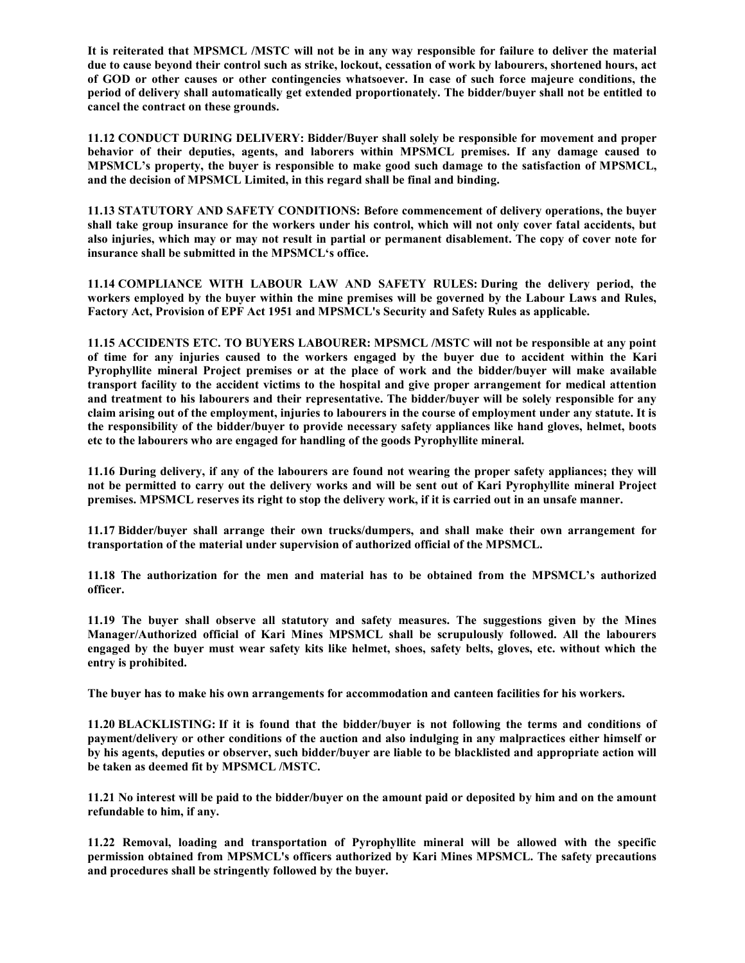It is reiterated that MPSMCL /MSTC will not be in any way responsible for failure to deliver the material due to cause beyond their control such as strike, lockout, cessation of work by labourers, shortened hours, act of GOD or other causes or other contingencies whatsoever. In case of such force majeure conditions, the period of delivery shall automatically get extended proportionately. The bidder/buyer shall not be entitled to cancel the contract on these grounds.

11.12 CONDUCT DURING DELIVERY: Bidder/Buyer shall solely be responsible for movement and proper behavior of their deputies, agents, and laborers within MPSMCL premises. If any damage caused to MPSMCL's property, the buyer is responsible to make good such damage to the satisfaction of MPSMCL, and the decision of MPSMCL Limited, in this regard shall be final and binding.

11.13 STATUTORY AND SAFETY CONDITIONS: Before commencement of delivery operations, the buyer shall take group insurance for the workers under his control, which will not only cover fatal accidents, but also injuries, which may or may not result in partial or permanent disablement. The copy of cover note for insurance shall be submitted in the MPSMCL's office.

11.14 COMPLIANCE WITH LABOUR LAW AND SAFETY RULES: During the delivery period, the workers employed by the buyer within the mine premises will be governed by the Labour Laws and Rules, Factory Act, Provision of EPF Act 1951 and MPSMCL's Security and Safety Rules as applicable.

11.15 ACCIDENTS ETC. TO BUYERS LABOURER: MPSMCL /MSTC will not be responsible at any point of time for any injuries caused to the workers engaged by the buyer due to accident within the Kari Pyrophyllite mineral Project premises or at the place of work and the bidder/buyer will make available transport facility to the accident victims to the hospital and give proper arrangement for medical attention and treatment to his labourers and their representative. The bidder/buyer will be solely responsible for any claim arising out of the employment, injuries to labourers in the course of employment under any statute. It is the responsibility of the bidder/buyer to provide necessary safety appliances like hand gloves, helmet, boots etc to the labourers who are engaged for handling of the goods Pyrophyllite mineral.

11.16 During delivery, if any of the labourers are found not wearing the proper safety appliances; they will not be permitted to carry out the delivery works and will be sent out of Kari Pyrophyllite mineral Project premises. MPSMCL reserves its right to stop the delivery work, if it is carried out in an unsafe manner.

11.17 Bidder/buyer shall arrange their own trucks/dumpers, and shall make their own arrangement for transportation of the material under supervision of authorized official of the MPSMCL.

11.18 The authorization for the men and material has to be obtained from the MPSMCL's authorized officer.

11.19 The buyer shall observe all statutory and safety measures. The suggestions given by the Mines Manager/Authorized official of Kari Mines MPSMCL shall be scrupulously followed. All the labourers engaged by the buyer must wear safety kits like helmet, shoes, safety belts, gloves, etc. without which the entry is prohibited.

The buyer has to make his own arrangements for accommodation and canteen facilities for his workers.

11.20 BLACKLISTING: If it is found that the bidder/buyer is not following the terms and conditions of payment/delivery or other conditions of the auction and also indulging in any malpractices either himself or by his agents, deputies or observer, such bidder/buyer are liable to be blacklisted and appropriate action will be taken as deemed fit by MPSMCL /MSTC.

11.21 No interest will be paid to the bidder/buyer on the amount paid or deposited by him and on the amount refundable to him, if any.

11.22 Removal, loading and transportation of Pyrophyllite mineral will be allowed with the specific permission obtained from MPSMCL's officers authorized by Kari Mines MPSMCL. The safety precautions and procedures shall be stringently followed by the buyer.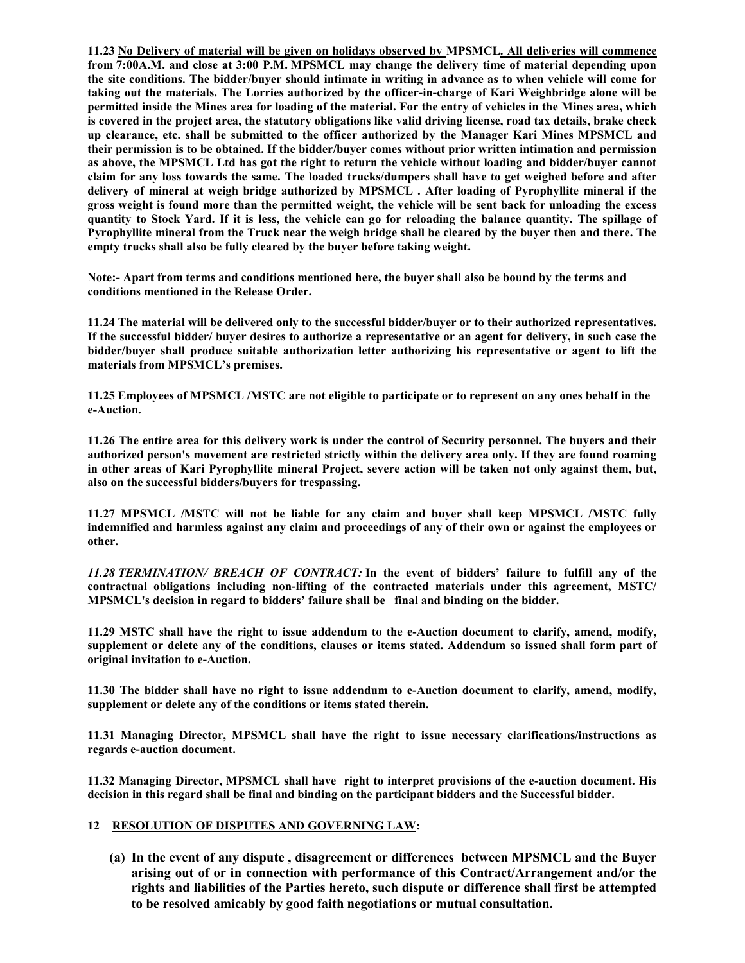11.23 No Delivery of material will be given on holidays observed by MPSMCL. All deliveries will commence from 7:00A.M. and close at 3:00 P.M. MPSMCL may change the delivery time of material depending upon the site conditions. The bidder/buyer should intimate in writing in advance as to when vehicle will come for taking out the materials. The Lorries authorized by the officer-in-charge of Kari Weighbridge alone will be permitted inside the Mines area for loading of the material. For the entry of vehicles in the Mines area, which is covered in the project area, the statutory obligations like valid driving license, road tax details, brake check up clearance, etc. shall be submitted to the officer authorized by the Manager Kari Mines MPSMCL and their permission is to be obtained. If the bidder/buyer comes without prior written intimation and permission as above, the MPSMCL Ltd has got the right to return the vehicle without loading and bidder/buyer cannot claim for any loss towards the same. The loaded trucks/dumpers shall have to get weighed before and after delivery of mineral at weigh bridge authorized by MPSMCL . After loading of Pyrophyllite mineral if the gross weight is found more than the permitted weight, the vehicle will be sent back for unloading the excess quantity to Stock Yard. If it is less, the vehicle can go for reloading the balance quantity. The spillage of Pyrophyllite mineral from the Truck near the weigh bridge shall be cleared by the buyer then and there. The empty trucks shall also be fully cleared by the buyer before taking weight.

Note:- Apart from terms and conditions mentioned here, the buyer shall also be bound by the terms and conditions mentioned in the Release Order.

11.24 The material will be delivered only to the successful bidder/buyer or to their authorized representatives. If the successful bidder/ buyer desires to authorize a representative or an agent for delivery, in such case the bidder/buyer shall produce suitable authorization letter authorizing his representative or agent to lift the materials from MPSMCL's premises.

11.25 Employees of MPSMCL /MSTC are not eligible to participate or to represent on any ones behalf in the e-Auction.

11.26 The entire area for this delivery work is under the control of Security personnel. The buyers and their authorized person's movement are restricted strictly within the delivery area only. If they are found roaming in other areas of Kari Pyrophyllite mineral Project, severe action will be taken not only against them, but, also on the successful bidders/buyers for trespassing.

11.27 MPSMCL /MSTC will not be liable for any claim and buyer shall keep MPSMCL /MSTC fully indemnified and harmless against any claim and proceedings of any of their own or against the employees or other.

11.28 TERMINATION/ BREACH OF CONTRACT: In the event of bidders' failure to fulfill any of the contractual obligations including non-lifting of the contracted materials under this agreement, MSTC/ MPSMCL's decision in regard to bidders' failure shall be final and binding on the bidder.

11.29 MSTC shall have the right to issue addendum to the e-Auction document to clarify, amend, modify, supplement or delete any of the conditions, clauses or items stated. Addendum so issued shall form part of original invitation to e-Auction.

11.30 The bidder shall have no right to issue addendum to e-Auction document to clarify, amend, modify, supplement or delete any of the conditions or items stated therein.

11.31 Managing Director, MPSMCL shall have the right to issue necessary clarifications/instructions as regards e-auction document.

11.32 Managing Director, MPSMCL shall have right to interpret provisions of the e-auction document. His decision in this regard shall be final and binding on the participant bidders and the Successful bidder.

## 12 RESOLUTION OF DISPUTES AND GOVERNING LAW:

(a) In the event of any dispute , disagreement or differences between MPSMCL and the Buyer arising out of or in connection with performance of this Contract/Arrangement and/or the rights and liabilities of the Parties hereto, such dispute or difference shall first be attempted to be resolved amicably by good faith negotiations or mutual consultation.